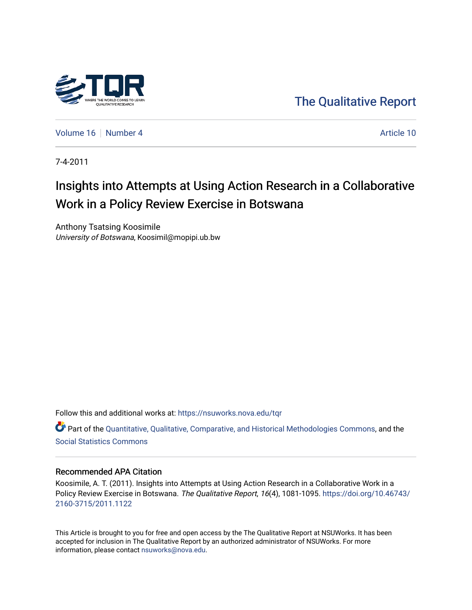

[The Qualitative Report](https://nsuworks.nova.edu/tqr) 

[Volume 16](https://nsuworks.nova.edu/tqr/vol16) [Number 4](https://nsuworks.nova.edu/tqr/vol16/iss4) Article 10

7-4-2011

# Insights into Attempts at Using Action Research in a Collaborative Work in a Policy Review Exercise in Botswana

Anthony Tsatsing Koosimile University of Botswana, Koosimil@mopipi.ub.bw

Follow this and additional works at: [https://nsuworks.nova.edu/tqr](https://nsuworks.nova.edu/tqr?utm_source=nsuworks.nova.edu%2Ftqr%2Fvol16%2Fiss4%2F10&utm_medium=PDF&utm_campaign=PDFCoverPages) 

Part of the [Quantitative, Qualitative, Comparative, and Historical Methodologies Commons,](http://network.bepress.com/hgg/discipline/423?utm_source=nsuworks.nova.edu%2Ftqr%2Fvol16%2Fiss4%2F10&utm_medium=PDF&utm_campaign=PDFCoverPages) and the [Social Statistics Commons](http://network.bepress.com/hgg/discipline/1275?utm_source=nsuworks.nova.edu%2Ftqr%2Fvol16%2Fiss4%2F10&utm_medium=PDF&utm_campaign=PDFCoverPages) 

#### Recommended APA Citation

Koosimile, A. T. (2011). Insights into Attempts at Using Action Research in a Collaborative Work in a Policy Review Exercise in Botswana. The Qualitative Report, 16(4), 1081-1095. [https://doi.org/10.46743/](https://doi.org/10.46743/2160-3715/2011.1122) [2160-3715/2011.1122](https://doi.org/10.46743/2160-3715/2011.1122)

This Article is brought to you for free and open access by the The Qualitative Report at NSUWorks. It has been accepted for inclusion in The Qualitative Report by an authorized administrator of NSUWorks. For more information, please contact [nsuworks@nova.edu.](mailto:nsuworks@nova.edu)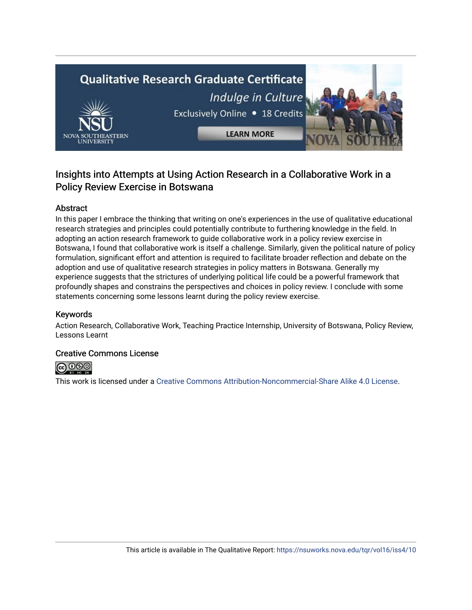# **Qualitative Research Graduate Certificate** Indulge in Culture Exclusively Online . 18 Credits **LEARN MORE**

### Insights into Attempts at Using Action Research in a Collaborative Work in a Policy Review Exercise in Botswana

#### Abstract

In this paper I embrace the thinking that writing on one's experiences in the use of qualitative educational research strategies and principles could potentially contribute to furthering knowledge in the field. In adopting an action research framework to guide collaborative work in a policy review exercise in Botswana, I found that collaborative work is itself a challenge. Similarly, given the political nature of policy formulation, significant effort and attention is required to facilitate broader reflection and debate on the adoption and use of qualitative research strategies in policy matters in Botswana. Generally my experience suggests that the strictures of underlying political life could be a powerful framework that profoundly shapes and constrains the perspectives and choices in policy review. I conclude with some statements concerning some lessons learnt during the policy review exercise.

#### Keywords

Action Research, Collaborative Work, Teaching Practice Internship, University of Botswana, Policy Review, Lessons Learnt

#### Creative Commons License



This work is licensed under a [Creative Commons Attribution-Noncommercial-Share Alike 4.0 License](https://creativecommons.org/licenses/by-nc-sa/4.0/).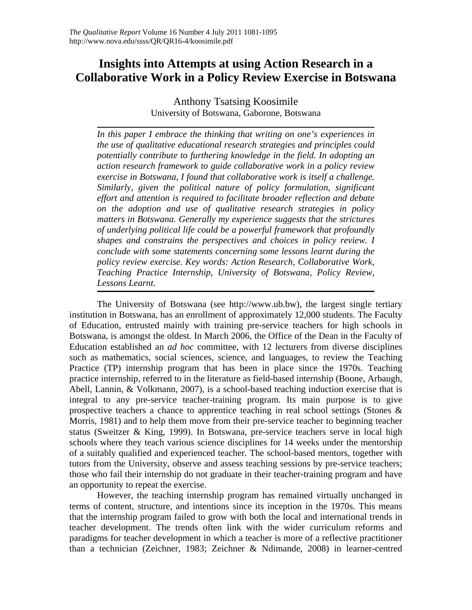## **Insights into Attempts at using Action Research in a Collaborative Work in a Policy Review Exercise in Botswana**

Anthony Tsatsing Koosimile University of Botswana, Gaborone, Botswana

*In this paper I embrace the thinking that writing on one's experiences in the use of qualitative educational research strategies and principles could potentially contribute to furthering knowledge in the field. In adopting an action research framework to guide collaborative work in a policy review exercise in Botswana, I found that collaborative work is itself a challenge. Similarly, given the political nature of policy formulation, significant effort and attention is required to facilitate broader reflection and debate on the adoption and use of qualitative research strategies in policy matters in Botswana. Generally my experience suggests that the strictures of underlying political life could be a powerful framework that profoundly shapes and constrains the perspectives and choices in policy review. I conclude with some statements concerning some lessons learnt during the policy review exercise. Key words: Action Research, Collaborative Work, Teaching Practice Internship, University of Botswana, Policy Review, Lessons Learnt.* 

The University of Botswana (see http://www.ub.bw), the largest single tertiary institution in Botswana, has an enrollment of approximately 12,000 students. The Faculty of Education, entrusted mainly with training pre-service teachers for high schools in Botswana, is amongst the oldest. In March 2006, the Office of the Dean in the Faculty of Education established an *ad hoc* committee, with 12 lecturers from diverse disciplines such as mathematics, social sciences, science, and languages, to review the Teaching Practice (TP) internship program that has been in place since the 1970s. Teaching practice internship, referred to in the literature as field-based internship (Boone, Arbaugh, Abell, Lannin, & Volkmann, 2007), is a school-based teaching induction exercise that is integral to any pre-service teacher-training program. Its main purpose is to give prospective teachers a chance to apprentice teaching in real school settings (Stones & Morris, 1981) and to help them move from their pre-service teacher to beginning teacher status (Sweitzer & King, 1999). In Botswana, pre-service teachers serve in local high schools where they teach various science disciplines for 14 weeks under the mentorship of a suitably qualified and experienced teacher. The school-based mentors, together with tutors from the University, observe and assess teaching sessions by pre-service teachers; those who fail their internship do not graduate in their teacher-training program and have an opportunity to repeat the exercise.

However, the teaching internship program has remained virtually unchanged in terms of content, structure, and intentions since its inception in the 1970s. This means that the internship program failed to grow with both the local and international trends in teacher development. The trends often link with the wider curriculum reforms and paradigms for teacher development in which a teacher is more of a reflective practitioner than a technician (Zeichner, 1983; Zeichner & Ndimande, 2008) in learner-centred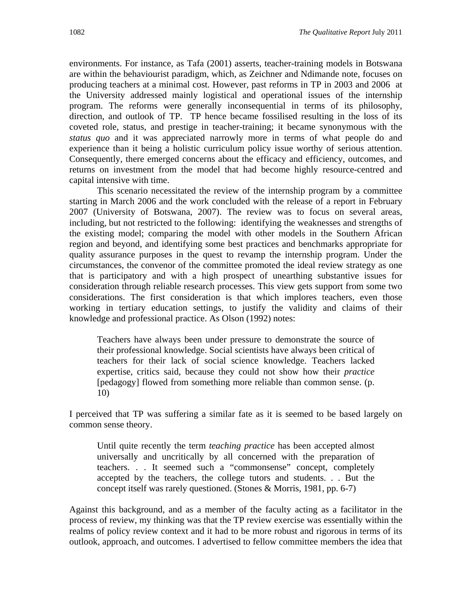environments. For instance, as Tafa (2001) asserts, teacher-training models in Botswana are within the behaviourist paradigm, which, as Zeichner and Ndimande note, focuses on producing teachers at a minimal cost. However, past reforms in TP in 2003 and 2006 at the University addressed mainly logistical and operational issues of the internship program. The reforms were generally inconsequential in terms of its philosophy, direction, and outlook of TP. TP hence became fossilised resulting in the loss of its coveted role, status, and prestige in teacher-training; it became synonymous with the *status quo* and it was appreciated narrowly more in terms of what people do and experience than it being a holistic curriculum policy issue worthy of serious attention. Consequently, there emerged concerns about the efficacy and efficiency, outcomes, and returns on investment from the model that had become highly resource-centred and capital intensive with time.

This scenario necessitated the review of the internship program by a committee starting in March 2006 and the work concluded with the release of a report in February 2007 (University of Botswana, 2007). The review was to focus on several areas, including, but not restricted to the following: identifying the weaknesses and strengths of the existing model; comparing the model with other models in the Southern African region and beyond, and identifying some best practices and benchmarks appropriate for quality assurance purposes in the quest to revamp the internship program. Under the circumstances, the convenor of the committee promoted the ideal review strategy as one that is participatory and with a high prospect of unearthing substantive issues for consideration through reliable research processes. This view gets support from some two considerations. The first consideration is that which implores teachers, even those working in tertiary education settings, to justify the validity and claims of their knowledge and professional practice. As Olson (1992) notes:

Teachers have always been under pressure to demonstrate the source of their professional knowledge. Social scientists have always been critical of teachers for their lack of social science knowledge. Teachers lacked expertise, critics said, because they could not show how their *practice* [pedagogy] flowed from something more reliable than common sense. (p. 10)

I perceived that TP was suffering a similar fate as it is seemed to be based largely on common sense theory.

Until quite recently the term *teaching practice* has been accepted almost universally and uncritically by all concerned with the preparation of teachers. . . It seemed such a "commonsense" concept, completely accepted by the teachers, the college tutors and students. . . But the concept itself was rarely questioned. (Stones & Morris, 1981, pp. 6-7)

Against this background, and as a member of the faculty acting as a facilitator in the process of review, my thinking was that the TP review exercise was essentially within the realms of policy review context and it had to be more robust and rigorous in terms of its outlook, approach, and outcomes. I advertised to fellow committee members the idea that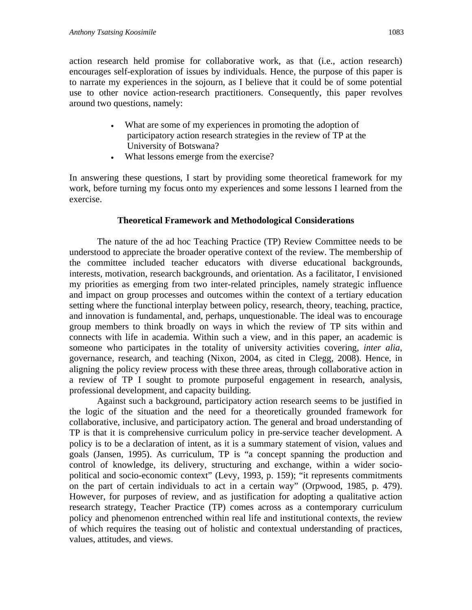action research held promise for collaborative work, as that (i.e., action research) encourages self-exploration of issues by individuals. Hence, the purpose of this paper is to narrate my experiences in the sojourn, as I believe that it could be of some potential use to other novice action-research practitioners. Consequently, this paper revolves around two questions, namely:

- What are some of my experiences in promoting the adoption of participatory action research strategies in the review of TP at the University of Botswana?
- What lessons emerge from the exercise?

In answering these questions, I start by providing some theoretical framework for my work, before turning my focus onto my experiences and some lessons I learned from the exercise.

#### **Theoretical Framework and Methodological Considerations**

The nature of the ad hoc Teaching Practice (TP) Review Committee needs to be understood to appreciate the broader operative context of the review. The membership of the committee included teacher educators with diverse educational backgrounds, interests, motivation, research backgrounds, and orientation. As a facilitator, I envisioned my priorities as emerging from two inter-related principles, namely strategic influence and impact on group processes and outcomes within the context of a tertiary education setting where the functional interplay between policy, research, theory, teaching, practice, and innovation is fundamental, and, perhaps, unquestionable. The ideal was to encourage group members to think broadly on ways in which the review of TP sits within and connects with life in academia. Within such a view, and in this paper, an academic is someone who participates in the totality of university activities covering, *inter alia*, governance, research, and teaching (Nixon, 2004, as cited in Clegg, 2008). Hence, in aligning the policy review process with these three areas, through collaborative action in a review of TP I sought to promote purposeful engagement in research, analysis, professional development, and capacity building.

Against such a background, participatory action research seems to be justified in the logic of the situation and the need for a theoretically grounded framework for collaborative, inclusive, and participatory action. The general and broad understanding of TP is that it is comprehensive curriculum policy in pre-service teacher development. A policy is to be a declaration of intent, as it is a summary statement of vision, values and goals (Jansen, 1995). As curriculum, TP is "a concept spanning the production and control of knowledge, its delivery, structuring and exchange, within a wider sociopolitical and socio-economic context" (Levy, 1993, p. 159); "it represents commitments on the part of certain individuals to act in a certain way" (Orpwood, 1985, p. 479). However, for purposes of review, and as justification for adopting a qualitative action research strategy, Teacher Practice (TP) comes across as a contemporary curriculum policy and phenomenon entrenched within real life and institutional contexts, the review of which requires the teasing out of holistic and contextual understanding of practices, values, attitudes, and views.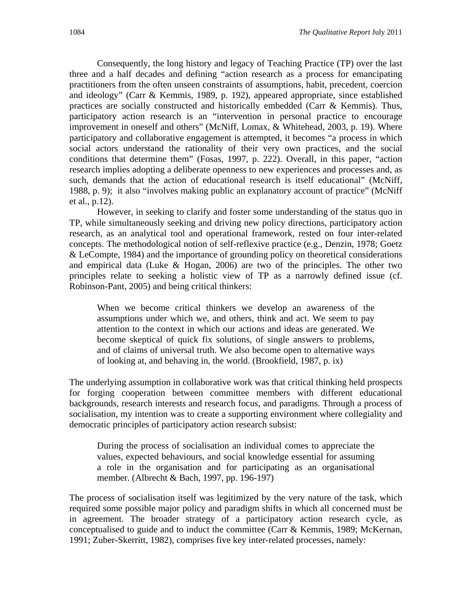Consequently, the long history and legacy of Teaching Practice (TP) over the last three and a half decades and defining "action research as a process for emancipating practitioners from the often unseen constraints of assumptions, habit, precedent, coercion and ideology" (Carr & Kemmis, 1989, p. 192), appeared appropriate, since established practices are socially constructed and historically embedded (Carr & Kemmis). Thus, participatory action research is an "intervention in personal practice to encourage improvement in oneself and others" (McNiff, Lomax, & Whitehead, 2003, p. 19). Where participatory and collaborative engagement is attempted, it becomes "a process in which social actors understand the rationality of their very own practices, and the social conditions that determine them" (Fosas, 1997, p. 222). Overall, in this paper, "action research implies adopting a deliberate openness to new experiences and processes and, as such, demands that the action of educational research is itself educational" (McNiff, 1988, p. 9); it also "involves making public an explanatory account of practice" (McNiff et al., p.12).

However, in seeking to clarify and foster some understanding of the status quo in TP, while simultaneously seeking and driving new policy directions, participatory action research, as an analytical tool and operational framework, rested on four inter-related concepts. The methodological notion of self-reflexive practice (e.g., Denzin, 1978; Goetz & LeCompte, 1984) and the importance of grounding policy on theoretical considerations and empirical data (Luke & Hogan, 2006) are two of the principles. The other two principles relate to seeking a holistic view of TP as a narrowly defined issue (cf. Robinson-Pant, 2005) and being critical thinkers:

When we become critical thinkers we develop an awareness of the assumptions under which we, and others, think and act. We seem to pay attention to the context in which our actions and ideas are generated. We become skeptical of quick fix solutions, of single answers to problems, and of claims of universal truth. We also become open to alternative ways of looking at, and behaving in, the world. (Brookfield, 1987, p. ix)

The underlying assumption in collaborative work was that critical thinking held prospects for forging cooperation between committee members with different educational backgrounds, research interests and research focus, and paradigms. Through a process of socialisation, my intention was to create a supporting environment where collegiality and democratic principles of participatory action research subsist:

During the process of socialisation an individual comes to appreciate the values, expected behaviours, and social knowledge essential for assuming a role in the organisation and for participating as an organisational member. (Albrecht & Bach, 1997, pp. 196-197)

The process of socialisation itself was legitimized by the very nature of the task, which required some possible major policy and paradigm shifts in which all concerned must be in agreement. The broader strategy of a participatory action research cycle, as conceptualised to guide and to induct the committee (Carr & Kemmis, 1989; McKernan, 1991; Zuber-Skerritt, 1982), comprises five key inter-related processes, namely: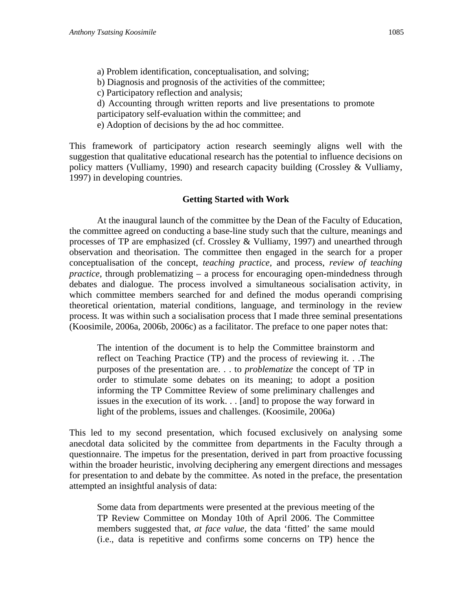a) Problem identification, conceptualisation, and solving;

b) Diagnosis and prognosis of the activities of the committee;

c) Participatory reflection and analysis;

d) Accounting through written reports and live presentations to promote

participatory self-evaluation within the committee; and

e) Adoption of decisions by the ad hoc committee.

This framework of participatory action research seemingly aligns well with the suggestion that qualitative educational research has the potential to influence decisions on policy matters (Vulliamy, 1990) and research capacity building (Crossley & Vulliamy, 1997) in developing countries.

#### **Getting Started with Work**

At the inaugural launch of the committee by the Dean of the Faculty of Education, the committee agreed on conducting a base-line study such that the culture, meanings and processes of TP are emphasized (cf. Crossley & Vulliamy, 1997) and unearthed through observation and theorisation. The committee then engaged in the search for a proper conceptualisation of the concept, *teaching practice,* and process, *review of teaching practice,* through problematizing – a process for encouraging open-mindedness through debates and dialogue. The process involved a simultaneous socialisation activity, in which committee members searched for and defined the modus operandi comprising theoretical orientation, material conditions, language, and terminology in the review process. It was within such a socialisation process that I made three seminal presentations (Koosimile, 2006a, 2006b, 2006c) as a facilitator. The preface to one paper notes that:

The intention of the document is to help the Committee brainstorm and reflect on Teaching Practice (TP) and the process of reviewing it. . .The purposes of the presentation are. . . to *problematize* the concept of TP in order to stimulate some debates on its meaning; to adopt a position informing the TP Committee Review of some preliminary challenges and issues in the execution of its work. . . [and] to propose the way forward in light of the problems, issues and challenges. (Koosimile, 2006a)

This led to my second presentation, which focused exclusively on analysing some anecdotal data solicited by the committee from departments in the Faculty through a questionnaire. The impetus for the presentation, derived in part from proactive focussing within the broader heuristic, involving deciphering any emergent directions and messages for presentation to and debate by the committee. As noted in the preface, the presentation attempted an insightful analysis of data:

Some data from departments were presented at the previous meeting of the TP Review Committee on Monday 10th of April 2006. The Committee members suggested that, *at face value,* the data 'fitted' the same mould (i.e., data is repetitive and confirms some concerns on TP) hence the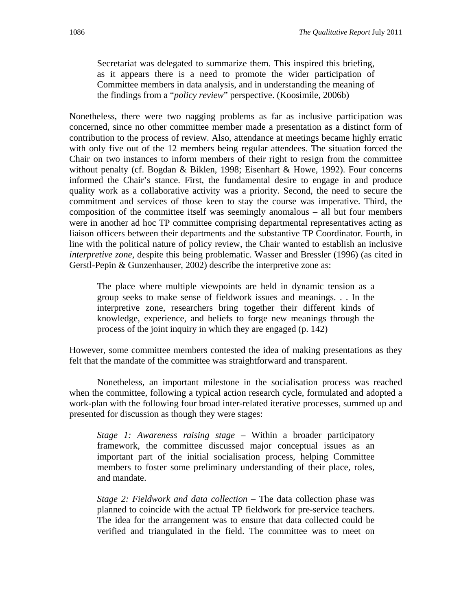Secretariat was delegated to summarize them. This inspired this briefing, as it appears there is a need to promote the wider participation of Committee members in data analysis, and in understanding the meaning of the findings from a "*policy review*" perspective. (Koosimile, 2006b)

Nonetheless, there were two nagging problems as far as inclusive participation was concerned, since no other committee member made a presentation as a distinct form of contribution to the process of review. Also, attendance at meetings became highly erratic with only five out of the 12 members being regular attendees. The situation forced the Chair on two instances to inform members of their right to resign from the committee without penalty (cf. Bogdan & Biklen, 1998; Eisenhart & Howe, 1992). Four concerns informed the Chair's stance. First, the fundamental desire to engage in and produce quality work as a collaborative activity was a priority. Second, the need to secure the commitment and services of those keen to stay the course was imperative. Third, the composition of the committee itself was seemingly anomalous – all but four members were in another ad hoc TP committee comprising departmental representatives acting as liaison officers between their departments and the substantive TP Coordinator. Fourth, in line with the political nature of policy review, the Chair wanted to establish an inclusive *interpretive zone*, despite this being problematic. Wasser and Bressler (1996) (as cited in Gerstl-Pepin & Gunzenhauser, 2002) describe the interpretive zone as:

The place where multiple viewpoints are held in dynamic tension as a group seeks to make sense of fieldwork issues and meanings. . . In the interpretive zone, researchers bring together their different kinds of knowledge, experience, and beliefs to forge new meanings through the process of the joint inquiry in which they are engaged (p. 142)

However, some committee members contested the idea of making presentations as they felt that the mandate of the committee was straightforward and transparent.

Nonetheless, an important milestone in the socialisation process was reached when the committee, following a typical action research cycle, formulated and adopted a work-plan with the following four broad inter-related iterative processes, summed up and presented for discussion as though they were stages:

*Stage 1: Awareness raising stage* – Within a broader participatory framework, the committee discussed major conceptual issues as an important part of the initial socialisation process, helping Committee members to foster some preliminary understanding of their place, roles, and mandate.

*Stage 2: Fieldwork and data collection – The data collection phase was* planned to coincide with the actual TP fieldwork for pre-service teachers. The idea for the arrangement was to ensure that data collected could be verified and triangulated in the field. The committee was to meet on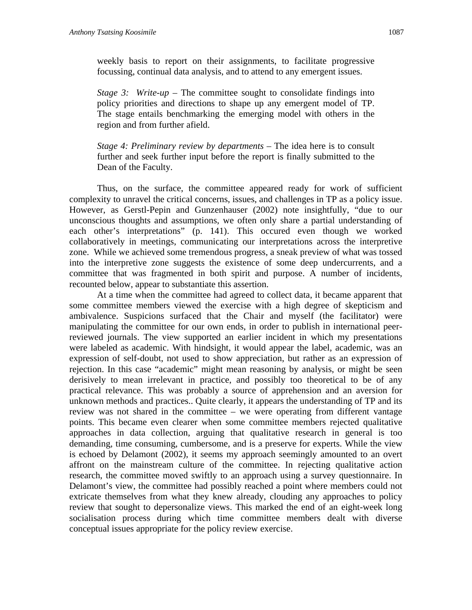*Stage 3: Write-up* – The committee sought to consolidate findings into policy priorities and directions to shape up any emergent model of TP. The stage entails benchmarking the emerging model with others in the region and from further afield.

*Stage 4: Preliminary review by departments* – The idea here is to consult further and seek further input before the report is finally submitted to the Dean of the Faculty.

Thus, on the surface, the committee appeared ready for work of sufficient complexity to unravel the critical concerns, issues, and challenges in TP as a policy issue. However, as Gerstl-Pepin and Gunzenhauser (2002) note insightfully, "due to our unconscious thoughts and assumptions, we often only share a partial understanding of each other's interpretations" (p. 141). This occured even though we worked collaboratively in meetings, communicating our interpretations across the interpretive zone. While we achieved some tremendous progress, a sneak preview of what was tossed into the interpretive zone suggests the existence of some deep undercurrents, and a committee that was fragmented in both spirit and purpose. A number of incidents, recounted below, appear to substantiate this assertion.

At a time when the committee had agreed to collect data, it became apparent that some committee members viewed the exercise with a high degree of skepticism and ambivalence. Suspicions surfaced that the Chair and myself (the facilitator) were manipulating the committee for our own ends, in order to publish in international peerreviewed journals. The view supported an earlier incident in which my presentations were labeled as academic. With hindsight, it would appear the label, academic, was an expression of self-doubt, not used to show appreciation, but rather as an expression of rejection. In this case "academic" might mean reasoning by analysis, or might be seen derisively to mean irrelevant in practice, and possibly too theoretical to be of any practical relevance. This was probably a source of apprehension and an aversion for unknown methods and practices.. Quite clearly, it appears the understanding of TP and its review was not shared in the committee – we were operating from different vantage points. This became even clearer when some committee members rejected qualitative approaches in data collection, arguing that qualitative research in general is too demanding, time consuming, cumbersome, and is a preserve for experts. While the view is echoed by Delamont (2002), it seems my approach seemingly amounted to an overt affront on the mainstream culture of the committee. In rejecting qualitative action research, the committee moved swiftly to an approach using a survey questionnaire. In Delamont's view, the committee had possibly reached a point where members could not extricate themselves from what they knew already, clouding any approaches to policy review that sought to depersonalize views. This marked the end of an eight-week long socialisation process during which time committee members dealt with diverse conceptual issues appropriate for the policy review exercise.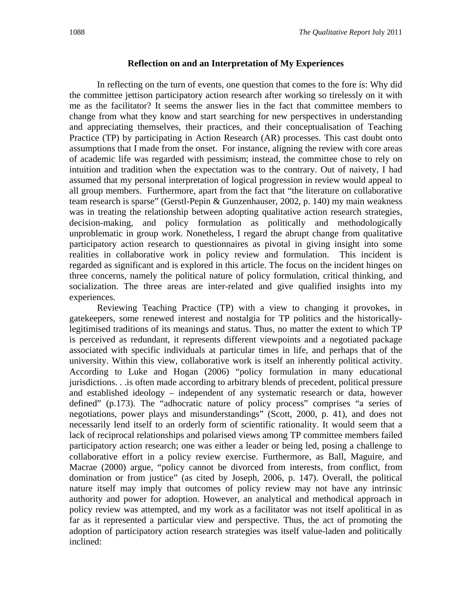#### **Reflection on and an Interpretation of My Experiences**

In reflecting on the turn of events, one question that comes to the fore is: Why did the committee jettison participatory action research after working so tirelessly on it with me as the facilitator? It seems the answer lies in the fact that committee members to change from what they know and start searching for new perspectives in understanding and appreciating themselves, their practices, and their conceptualisation of Teaching Practice (TP) by participating in Action Research (AR) processes. This cast doubt onto assumptions that I made from the onset. For instance, aligning the review with core areas of academic life was regarded with pessimism; instead, the committee chose to rely on intuition and tradition when the expectation was to the contrary. Out of naivety, I had assumed that my personal interpretation of logical progression in review would appeal to all group members. Furthermore, apart from the fact that "the literature on collaborative team research is sparse" (Gerstl-Pepin & Gunzenhauser, 2002, p. 140) my main weakness was in treating the relationship between adopting qualitative action research strategies, decision-making, and policy formulation as politically and methodologically unproblematic in group work. Nonetheless, I regard the abrupt change from qualitative participatory action research to questionnaires as pivotal in giving insight into some realities in collaborative work in policy review and formulation. This incident is regarded as significant and is explored in this article. The focus on the incident hinges on three concerns, namely the political nature of policy formulation, critical thinking, and socialization. The three areas are inter-related and give qualified insights into my experiences.

Reviewing Teaching Practice (TP) with a view to changing it provokes, in gatekeepers, some renewed interest and nostalgia for TP politics and the historicallylegitimised traditions of its meanings and status. Thus, no matter the extent to which TP is perceived as redundant, it represents different viewpoints and a negotiated package associated with specific individuals at particular times in life, and perhaps that of the university. Within this view, collaborative work is itself an inherently political activity. According to Luke and Hogan (2006) "policy formulation in many educational jurisdictions. . .is often made according to arbitrary blends of precedent, political pressure and established ideology – independent of any systematic research or data, however defined" (p.173). The "adhocratic nature of policy process" comprises "a series of negotiations, power plays and misunderstandings" (Scott, 2000, p. 41), and does not necessarily lend itself to an orderly form of scientific rationality. It would seem that a lack of reciprocal relationships and polarised views among TP committee members failed participatory action research; one was either a leader or being led, posing a challenge to collaborative effort in a policy review exercise. Furthermore, as Ball, Maguire, and Macrae (2000) argue, "policy cannot be divorced from interests, from conflict, from domination or from justice" (as cited by Joseph, 2006, p. 147). Overall, the political nature itself may imply that outcomes of policy review may not have any intrinsic authority and power for adoption. However, an analytical and methodical approach in policy review was attempted, and my work as a facilitator was not itself apolitical in as far as it represented a particular view and perspective. Thus, the act of promoting the adoption of participatory action research strategies was itself value-laden and politically inclined: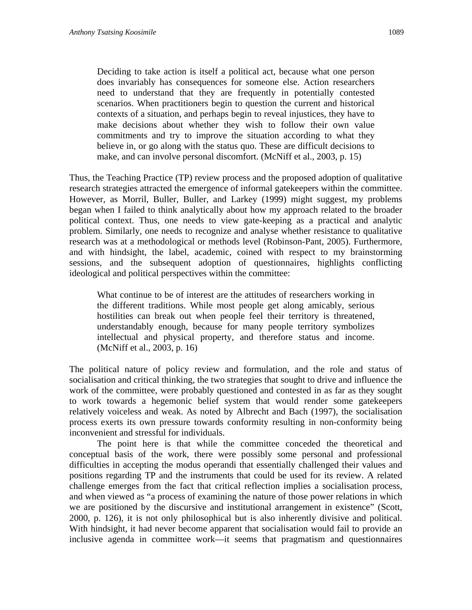Deciding to take action is itself a political act, because what one person does invariably has consequences for someone else. Action researchers need to understand that they are frequently in potentially contested scenarios. When practitioners begin to question the current and historical contexts of a situation, and perhaps begin to reveal injustices, they have to make decisions about whether they wish to follow their own value commitments and try to improve the situation according to what they believe in, or go along with the status quo. These are difficult decisions to make, and can involve personal discomfort. (McNiff et al., 2003, p. 15)

Thus, the Teaching Practice (TP) review process and the proposed adoption of qualitative research strategies attracted the emergence of informal gatekeepers within the committee. However, as Morril, Buller, Buller, and Larkey (1999) might suggest, my problems began when I failed to think analytically about how my approach related to the broader political context. Thus, one needs to view gate-keeping as a practical and analytic problem. Similarly, one needs to recognize and analyse whether resistance to qualitative research was at a methodological or methods level (Robinson-Pant, 2005). Furthermore, and with hindsight, the label, academic, coined with respect to my brainstorming sessions, and the subsequent adoption of questionnaires, highlights conflicting ideological and political perspectives within the committee:

What continue to be of interest are the attitudes of researchers working in the different traditions. While most people get along amicably, serious hostilities can break out when people feel their territory is threatened, understandably enough, because for many people territory symbolizes intellectual and physical property, and therefore status and income. (McNiff et al., 2003, p. 16)

The political nature of policy review and formulation, and the role and status of socialisation and critical thinking, the two strategies that sought to drive and influence the work of the committee, were probably questioned and contested in as far as they sought to work towards a hegemonic belief system that would render some gatekeepers relatively voiceless and weak. As noted by Albrecht and Bach (1997), the socialisation process exerts its own pressure towards conformity resulting in non-conformity being inconvenient and stressful for individuals.

The point here is that while the committee conceded the theoretical and conceptual basis of the work, there were possibly some personal and professional difficulties in accepting the modus operandi that essentially challenged their values and positions regarding TP and the instruments that could be used for its review. A related challenge emerges from the fact that critical reflection implies a socialisation process, and when viewed as "a process of examining the nature of those power relations in which we are positioned by the discursive and institutional arrangement in existence" (Scott, 2000, p. 126), it is not only philosophical but is also inherently divisive and political. With hindsight, it had never become apparent that socialisation would fail to provide an inclusive agenda in committee work—it seems that pragmatism and questionnaires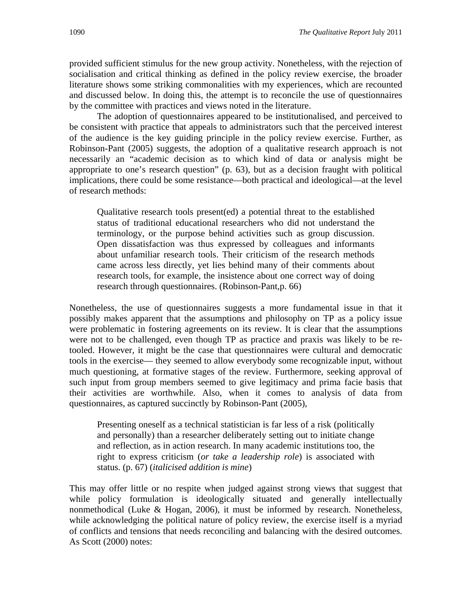provided sufficient stimulus for the new group activity. Nonetheless, with the rejection of socialisation and critical thinking as defined in the policy review exercise, the broader literature shows some striking commonalities with my experiences, which are recounted and discussed below. In doing this, the attempt is to reconcile the use of questionnaires by the committee with practices and views noted in the literature.

The adoption of questionnaires appeared to be institutionalised, and perceived to be consistent with practice that appeals to administrators such that the perceived interest of the audience is the key guiding principle in the policy review exercise. Further, as Robinson-Pant (2005) suggests, the adoption of a qualitative research approach is not necessarily an "academic decision as to which kind of data or analysis might be appropriate to one's research question" (p. 63), but as a decision fraught with political implications, there could be some resistance—both practical and ideological—at the level of research methods:

Qualitative research tools present(ed) a potential threat to the established status of traditional educational researchers who did not understand the terminology, or the purpose behind activities such as group discussion. Open dissatisfaction was thus expressed by colleagues and informants about unfamiliar research tools. Their criticism of the research methods came across less directly, yet lies behind many of their comments about research tools, for example, the insistence about one correct way of doing research through questionnaires. (Robinson-Pant,p. 66)

Nonetheless, the use of questionnaires suggests a more fundamental issue in that it possibly makes apparent that the assumptions and philosophy on TP as a policy issue were problematic in fostering agreements on its review. It is clear that the assumptions were not to be challenged, even though TP as practice and praxis was likely to be retooled. However, it might be the case that questionnaires were cultural and democratic tools in the exercise— they seemed to allow everybody some recognizable input, without much questioning, at formative stages of the review. Furthermore, seeking approval of such input from group members seemed to give legitimacy and prima facie basis that their activities are worthwhile. Also, when it comes to analysis of data from questionnaires, as captured succinctly by Robinson-Pant (2005),

Presenting oneself as a technical statistician is far less of a risk (politically and personally) than a researcher deliberately setting out to initiate change and reflection, as in action research. In many academic institutions too, the right to express criticism (*or take a leadership role*) is associated with status. (p. 67) (*italicised addition is mine*)

This may offer little or no respite when judged against strong views that suggest that while policy formulation is ideologically situated and generally intellectually nonmethodical (Luke & Hogan, 2006), it must be informed by research. Nonetheless, while acknowledging the political nature of policy review, the exercise itself is a myriad of conflicts and tensions that needs reconciling and balancing with the desired outcomes. As Scott (2000) notes: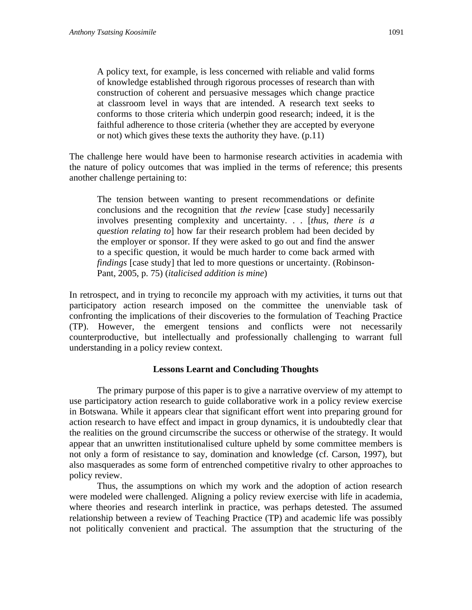A policy text, for example, is less concerned with reliable and valid forms of knowledge established through rigorous processes of research than with construction of coherent and persuasive messages which change practice at classroom level in ways that are intended. A research text seeks to conforms to those criteria which underpin good research; indeed, it is the faithful adherence to those criteria (whether they are accepted by everyone or not) which gives these texts the authority they have. (p.11)

The challenge here would have been to harmonise research activities in academia with the nature of policy outcomes that was implied in the terms of reference; this presents another challenge pertaining to:

The tension between wanting to present recommendations or definite conclusions and the recognition that *the review* [case study] necessarily involves presenting complexity and uncertainty. . . [*thus, there is a question relating to*] how far their research problem had been decided by the employer or sponsor. If they were asked to go out and find the answer to a specific question, it would be much harder to come back armed with *findings* [case study] that led to more questions or uncertainty. (Robinson-Pant, 2005, p. 75) (*italicised addition is mine*)

In retrospect, and in trying to reconcile my approach with my activities, it turns out that participatory action research imposed on the committee the unenviable task of confronting the implications of their discoveries to the formulation of Teaching Practice (TP). However, the emergent tensions and conflicts were not necessarily counterproductive, but intellectually and professionally challenging to warrant full understanding in a policy review context.

#### **Lessons Learnt and Concluding Thoughts**

The primary purpose of this paper is to give a narrative overview of my attempt to use participatory action research to guide collaborative work in a policy review exercise in Botswana. While it appears clear that significant effort went into preparing ground for action research to have effect and impact in group dynamics, it is undoubtedly clear that the realities on the ground circumscribe the success or otherwise of the strategy. It would appear that an unwritten institutionalised culture upheld by some committee members is not only a form of resistance to say, domination and knowledge (cf. Carson, 1997), but also masquerades as some form of entrenched competitive rivalry to other approaches to policy review.

Thus, the assumptions on which my work and the adoption of action research were modeled were challenged. Aligning a policy review exercise with life in academia, where theories and research interlink in practice, was perhaps detested. The assumed relationship between a review of Teaching Practice (TP) and academic life was possibly not politically convenient and practical. The assumption that the structuring of the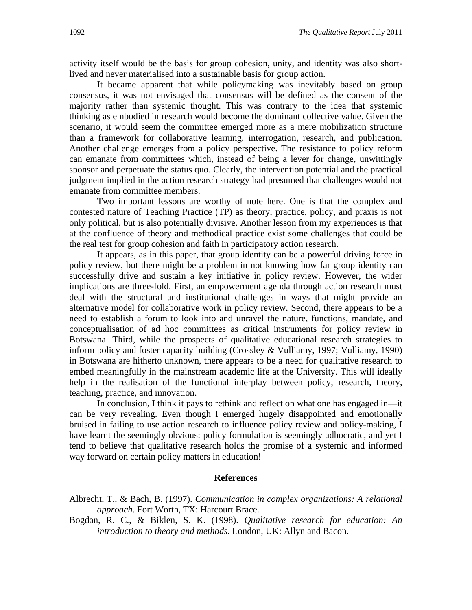activity itself would be the basis for group cohesion, unity, and identity was also shortlived and never materialised into a sustainable basis for group action.

It became apparent that while policymaking was inevitably based on group consensus, it was not envisaged that consensus will be defined as the consent of the majority rather than systemic thought. This was contrary to the idea that systemic thinking as embodied in research would become the dominant collective value. Given the scenario, it would seem the committee emerged more as a mere mobilization structure than a framework for collaborative learning, interrogation, research, and publication. Another challenge emerges from a policy perspective. The resistance to policy reform can emanate from committees which, instead of being a lever for change, unwittingly sponsor and perpetuate the status quo. Clearly, the intervention potential and the practical judgment implied in the action research strategy had presumed that challenges would not emanate from committee members.

Two important lessons are worthy of note here. One is that the complex and contested nature of Teaching Practice (TP) as theory, practice, policy, and praxis is not only political, but is also potentially divisive. Another lesson from my experiences is that at the confluence of theory and methodical practice exist some challenges that could be the real test for group cohesion and faith in participatory action research.

It appears, as in this paper, that group identity can be a powerful driving force in policy review, but there might be a problem in not knowing how far group identity can successfully drive and sustain a key initiative in policy review. However, the wider implications are three-fold. First, an empowerment agenda through action research must deal with the structural and institutional challenges in ways that might provide an alternative model for collaborative work in policy review. Second, there appears to be a need to establish a forum to look into and unravel the nature, functions, mandate, and conceptualisation of ad hoc committees as critical instruments for policy review in Botswana. Third, while the prospects of qualitative educational research strategies to inform policy and foster capacity building (Crossley & Vulliamy, 1997; Vulliamy, 1990) in Botswana are hitherto unknown, there appears to be a need for qualitative research to embed meaningfully in the mainstream academic life at the University. This will ideally help in the realisation of the functional interplay between policy, research, theory, teaching, practice, and innovation.

In conclusion, I think it pays to rethink and reflect on what one has engaged in—it can be very revealing. Even though I emerged hugely disappointed and emotionally bruised in failing to use action research to influence policy review and policy-making, I have learnt the seemingly obvious: policy formulation is seemingly adhocratic, and yet I tend to believe that qualitative research holds the promise of a systemic and informed way forward on certain policy matters in education!

#### **References**

Albrecht, T., & Bach, B. (1997). *Communication in complex organizations: A relational approach*. Fort Worth, TX: Harcourt Brace.

Bogdan, R. C., & Biklen, S. K. (1998). *Qualitative research for education: An introduction to theory and methods*. London, UK: Allyn and Bacon.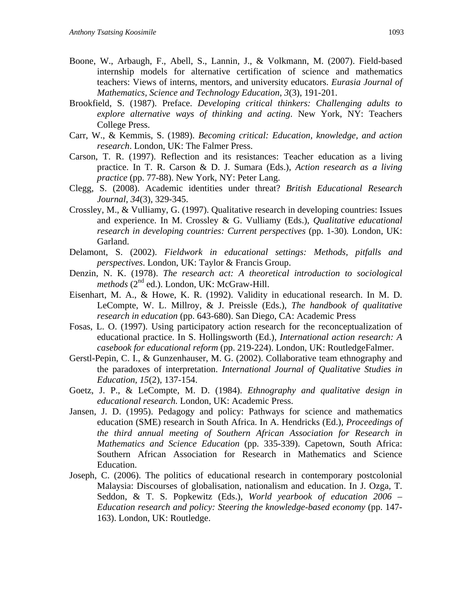- Boone, W., Arbaugh, F., Abell, S., Lannin, J., & Volkmann, M. (2007). Field-based internship models for alternative certification of science and mathematics teachers: Views of interns, mentors, and university educators. *Eurasia Journal of Mathematics, Science and Technology Education*, *3*(3), 191-201.
- Brookfield, S. (1987). Preface. *Developing critical thinkers: Challenging adults to explore alternative ways of thinking and acting*. New York, NY: Teachers College Press.
- Carr, W., & Kemmis, S. (1989). *Becoming critical: Education, knowledge, and action research*. London, UK: The Falmer Press.
- Carson, T. R. (1997). Reflection and its resistances: Teacher education as a living practice. In T. R. Carson & D. J. Sumara (Eds.), *Action research as a living practice* (pp. 77-88). New York, NY: Peter Lang.
- Clegg, S. (2008). Academic identities under threat? *British Educational Research Journal, 34*(3), 329-345.
- Crossley, M., & Vulliamy, G. (1997). Qualitative research in developing countries: Issues and experience. In M. Crossley & G. Vulliamy (Eds.), *Qualitative educational research in developing countries: Current perspectives* (pp. 1-30)*.* London, UK: Garland.
- Delamont, S. (2002). *Fieldwork in educational settings: Methods, pitfalls and perspectives*. London, UK: Taylor & Francis Group.
- Denzin, N. K. (1978). *The research act: A theoretical introduction to sociological methods* (2<sup>nd</sup> ed.). London, UK: McGraw-Hill.
- Eisenhart, M. A., & Howe, K. R. (1992). Validity in educational research. In M. D. LeCompte, W. L. Millroy, & J. Preissle (Eds.), *The handbook of qualitative research in education* (pp. 643-680). San Diego, CA: Academic Press
- Fosas, L. O. (1997). Using participatory action research for the reconceptualization of educational practice. In S. Hollingsworth (Ed.), *International action research: A casebook for educational reform* (pp. 219-224). London, UK: RoutledgeFalmer.
- Gerstl-Pepin, C. I., & Gunzenhauser, M. G. (2002). Collaborative team ethnography and the paradoxes of interpretation. *International Journal of Qualitative Studies in Education, 15*(2), 137-154.
- Goetz, J. P., & LeCompte, M. D. (1984). *Ethnography and qualitative design in educational research.* London, UK: Academic Press.
- Jansen, J. D. (1995). Pedagogy and policy: Pathways for science and mathematics education (SME) research in South Africa. In A. Hendricks (Ed.), *Proceedings of the third annual meeting of Southern African Association for Research in Mathematics and Science Education* (pp. 335-339). Capetown, South Africa: Southern African Association for Research in Mathematics and Science Education.
- Joseph, C. (2006). The politics of educational research in contemporary postcolonial Malaysia: Discourses of globalisation, nationalism and education. In J. Ozga, T. Seddon, & T. S. Popkewitz (Eds.), *World yearbook of education 2006 – Education research and policy: Steering the knowledge-based economy* (pp. 147- 163). London, UK: Routledge.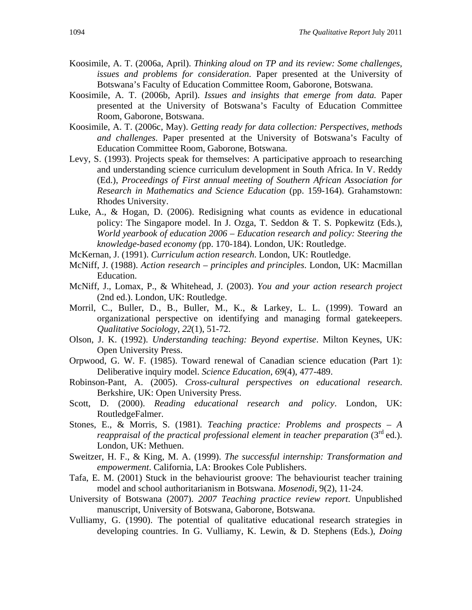- Koosimile, A. T. (2006a, April). *Thinking aloud on TP and its review: Some challenges, issues and problems for consideration*. Paper presented at the University of Botswana's Faculty of Education Committee Room, Gaborone, Botswana.
- Koosimile, A. T. (2006b, April). *Issues and insights that emerge from data.* Paper presented at the University of Botswana's Faculty of Education Committee Room, Gaborone, Botswana.
- Koosimile, A. T. (2006c, May). *Getting ready for data collection: Perspectives, methods and challenges*. Paper presented at the University of Botswana's Faculty of Education Committee Room, Gaborone, Botswana.
- Levy, S. (1993). Projects speak for themselves: A participative approach to researching and understanding science curriculum development in South Africa. In V. Reddy (Ed.), *Proceedings of First annual meeting of Southern African Association for Research in Mathematics and Science Education* (pp. 159-164). Grahamstown: Rhodes University.
- Luke, A., & Hogan, D. (2006). Redisigning what counts as evidence in educational policy: The Singapore model. In J. Ozga, T. Seddon & T. S. Popkewitz (Eds.), *World yearbook of education 2006 – Education research and policy: Steering the knowledge-based economy (*pp. 170-184). London, UK: Routledge.
- McKernan, J. (1991). *Curriculum action research*. London, UK: Routledge.
- McNiff, J. (1988). *Action research principles and principles*. London, UK: Macmillan Education.
- McNiff, J., Lomax, P., & Whitehead, J. (2003). *You and your action research project*  (2nd ed.). London, UK: Routledge.
- Morril, C., Buller, D., B., Buller, M., K., & Larkey, L. L. (1999). Toward an organizational perspective on identifying and managing formal gatekeepers. *Qualitative Sociology, 22*(1), 51-72.
- Olson, J. K. (1992). *Understanding teaching: Beyond expertise*. Milton Keynes, UK: Open University Press.
- Orpwood, G. W. F. (1985). Toward renewal of Canadian science education (Part 1): Deliberative inquiry model. *Science Education, 69*(4), 477-489.
- Robinson-Pant, A. (2005). *Cross-cultural perspectives on educational research*. Berkshire, UK: Open University Press.
- Scott, D. (2000). *Reading educational research and policy*. London, UK: RoutledgeFalmer.
- Stones, E., & Morris, S. (1981). *Teaching practice: Problems and prospects A reappraisal of the practical professional element in teacher preparation* (3<sup>rd</sup> ed.). London, UK: Methuen.
- Sweitzer, H. F., & King, M. A. (1999). *The successful internship: Transformation and empowerment*. California, LA: Brookes Cole Publishers.
- Tafa, E. M. (2001) Stuck in the behaviourist groove: The behaviourist teacher training model and school authoritarianism in Botswana. *Mosenodi,* 9(2), 11-24.
- University of Botswana (2007). *2007 Teaching practice review report*. Unpublished manuscript, University of Botswana, Gaborone, Botswana.
- Vulliamy, G. (1990). The potential of qualitative educational research strategies in developing countries. In G. Vulliamy, K. Lewin, & D. Stephens (Eds.), *Doing*